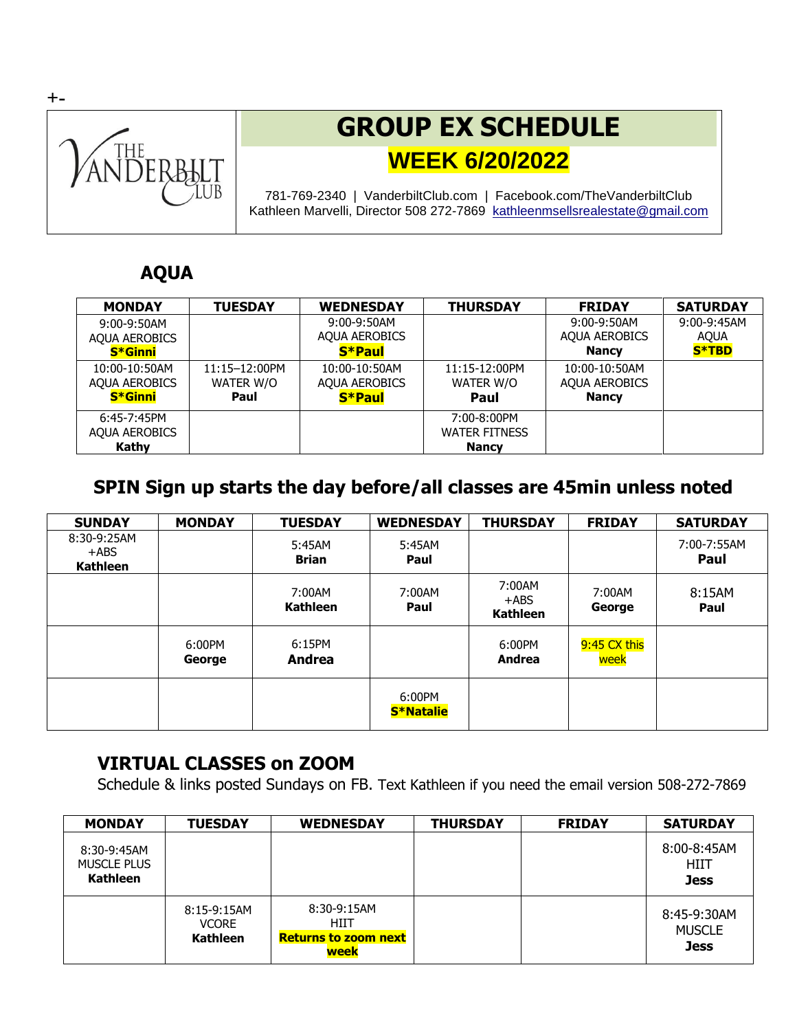

# **GROUP EX SCHEDULE WEEK 6/20/2022**

781-769-2340 | VanderbiltClub.com | Facebook.com/TheVanderbiltClub Kathleen Marvelli, Director 508 272-7869 [kathleenmsellsrealestate@gmail.com](mailto:kathleenmsellsrealestate@gmail.com)

### **AQUA**

| <b>MONDAY</b>        | <b>TUESDAY</b>     | <b>WEDNESDAY</b>     | <b>THURSDAY</b>      | <b>FRIDAY</b>        | <b>SATURDAY</b> |
|----------------------|--------------------|----------------------|----------------------|----------------------|-----------------|
| $9:00-9:50AM$        |                    | 9:00-9:50AM          |                      | $9:00-9:50AM$        | $9:00-9:45AM$   |
| <b>AQUA AEROBICS</b> |                    | <b>AOUA AEROBICS</b> |                      | <b>AQUA AEROBICS</b> | <b>AOUA</b>     |
| <b>S*Ginni</b>       |                    | S*Paul               |                      | <b>Nancy</b>         | <b>S*TBD</b>    |
| 10:00-10:50AM        | $11:15 - 12:00$ PM | 10:00-10:50AM        | 11:15-12:00PM        | $10:00-10:50AM$      |                 |
| <b>AOUA AEROBICS</b> | WATER W/O          | <b>AOUA AEROBICS</b> | WATER W/O            | <b>AQUA AEROBICS</b> |                 |
| <b>S*Ginni</b>       | Paul               | S*Paul               | Paul                 | <b>Nancy</b>         |                 |
| $6:45-7:45$ PM       |                    |                      | 7:00-8:00PM          |                      |                 |
| <b>AOUA AEROBICS</b> |                    |                      | <b>WATER FITNESS</b> |                      |                 |
| Kathy                |                    |                      | <b>Nancy</b>         |                      |                 |

## **SPIN Sign up starts the day before/all classes are 45min unless noted**

| <b>SUNDAY</b>                             | <b>MONDAY</b>    | <b>TUESDAY</b>         | <b>WEDNESDAY</b>           | <b>THURSDAY</b>                      | <b>FRIDAY</b>        | <b>SATURDAY</b>     |
|-------------------------------------------|------------------|------------------------|----------------------------|--------------------------------------|----------------------|---------------------|
| 8:30-9:25AM<br>$+$ ABS<br><b>Kathleen</b> |                  | 5:45AM<br><b>Brian</b> | 5:45AM<br>Paul             |                                      |                      | 7:00-7:55AM<br>Paul |
|                                           |                  | 7:00AM<br>Kathleen     | 7:00AM<br>Paul             | 7:00AM<br>$+$ ABS<br><b>Kathleen</b> | 7:00AM<br>George     | 8:15AM<br>Paul      |
|                                           | 6:00PM<br>George | 6:15PM<br>Andrea       |                            | 6:00PM<br>Andrea                     | 9:45 CX this<br>week |                     |
|                                           |                  |                        | 6:00PM<br><b>S*Natalie</b> |                                      |                      |                     |

#### **VIRTUAL CLASSES on ZOOM**

Schedule & links posted Sundays on FB. Text Kathleen if you need the email version 508-272-7869

| <b>MONDAY</b>                                        | <b>TUESDAY</b>                                   | <b>WEDNESDAY</b>                                             | <b>THURSDAY</b> | <b>FRIDAY</b> | <b>SATURDAY</b>                             |
|------------------------------------------------------|--------------------------------------------------|--------------------------------------------------------------|-----------------|---------------|---------------------------------------------|
| 8:30-9:45AM<br><b>MUSCLE PLUS</b><br><b>Kathleen</b> |                                                  |                                                              |                 |               | 8:00-8:45AM<br>HIIT<br><b>Jess</b>          |
|                                                      | $8:15-9:15AM$<br><b>VCORE</b><br><b>Kathleen</b> | $8:30-9:15AM$<br>HIIT<br><b>Returns to zoom next</b><br>week |                 |               | 8:45-9:30AM<br><b>MUSCLE</b><br><b>Jess</b> |

**+-**